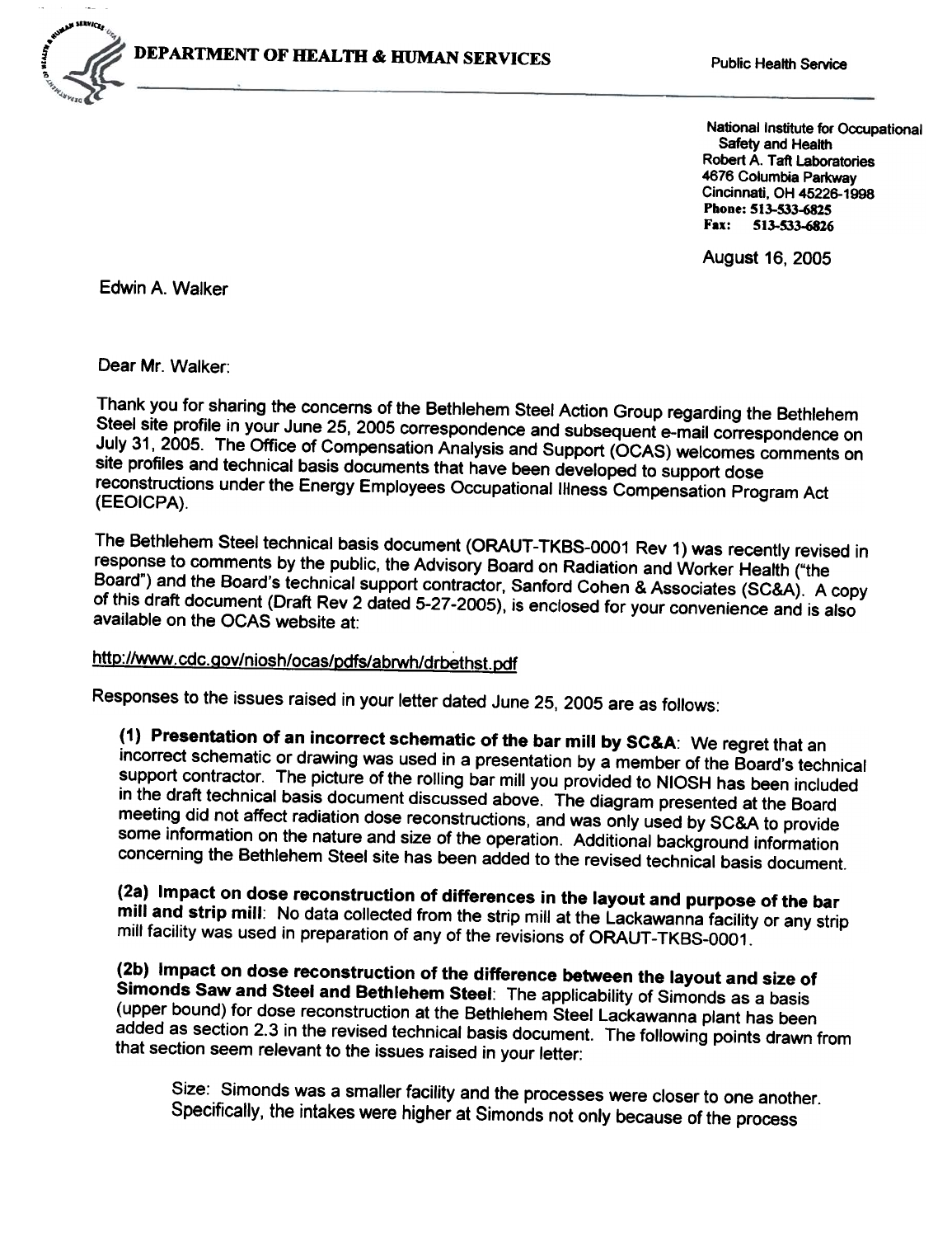

National Institute for Occupational Safety and Health Robert A. Taft Laboratories 4676 Columbia Parkway Cincinnati, OH 45226-1998 Phone: 513-533-6825 Fax: 513-533-6816

August 16, 2005

Edwin A. Walker

Dear Mr. Walker:

Thank you for sharing the concerns of the Bethlehem Steel Action Group regarding the Bethlehem Steel site profile in your June 25, 2005 correspondence and subsequent e-mail correspondence on July 31, 2005. The Office of Compensation Analysis and Support (OCAS) welcomes comments on site profiles and technical basis documents that have been developed to support dose reconstructions under the Energy Employees Occupational Illness Compensation Program Act (EEOICPA).

The Bethlehem Steel technical basis document (ORAUT-TKBS-0001 Rev 1) was recently revised in response to comments by the public. the Advisory Board on Radiation and Worker Health ("the Board") and the Board's technical support contractor, Sanford Cohen & Associates (SC&A). A copy of this draft document (Draft Rev 2 dated 5-27-2005), is enclosed for your convenience and is also available on the OCAS website at:

## http://www.cdc.gov/niosh/ocas/pdfs/abrwh/drbethst.pdf

Responses to the issues raised in your letter dated June 25, 2005 are as follows:

(1) Presentation of an incorrect schematic of the bar mill by SC&A: We regret that an incorrect schematic or drawing was used in a presentation by a member of the Board's technical support contractor. The picture of the rolling bar mill you provided to NIOSH has been included in the draft technical basis document discussed above. The diagram presented at the Board meeting did not affect radiation dose reconstructions, and was only used by SC&A to provide some information on the nature and size of the operation. Additional background information concerning the Bethlehem Steel site has been added to the revised technical basis document.

(2a) Impact on dose reconstruction of differences in the layout and purpose of the bar mill and strip mill: No data collected from the strip mill at the Lackawanna facility or any strip mill facility was used in preparation of any of the revisions of ORAUT-TKBS-0001.

(2b) Impact on dose reconstruction of the difference between the layout and size of Simonds Saw and Steel and Bethlehem Steel: The applicability of Simonds as a basis (upper bound) for dose reconstruction at the Bethlehem Steel Lackawanna plant has been added as section 2.3 in the revised technical basis document. The following points drawn from that section seem relevant to the issues raised in your letter:

Size: Simonds was a smaller facility and the processes were closer to one another. Specifically, the intakes were higher at Simonds not only because of the process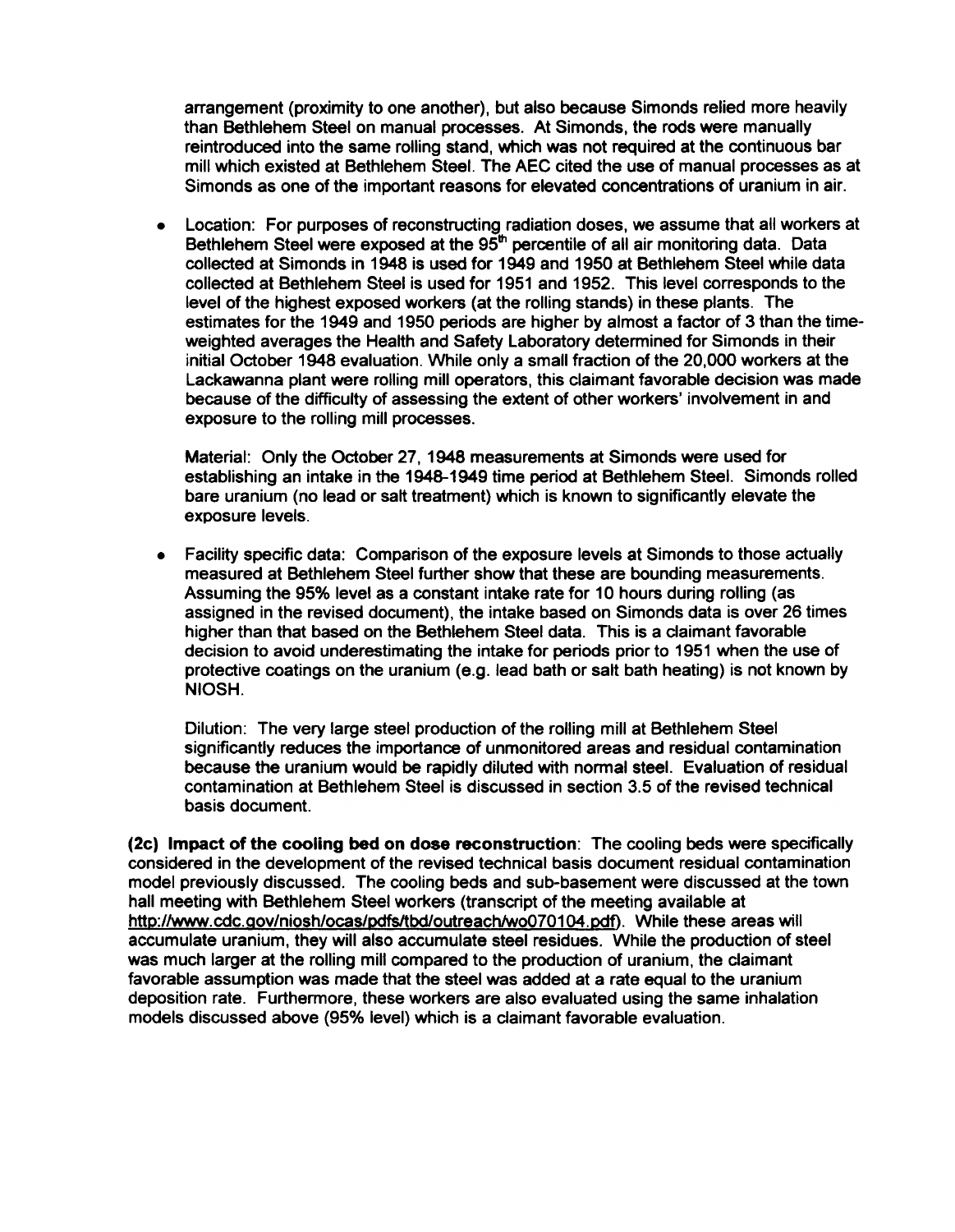arrangement (proximity to one another), but also because Simonds relied more heavily than Bethlehem Steel on manual processes. At Simonds, the rods were manually reintroduced into the same rolling stand, which was not required at the continuous bar mill which existed at Bethlehem Steel. The AEC cited the use of manual processes as at Simonds as one of the important reasons for elevated concentrations of uranium in air.

. Location: For purposes of reconstruding radiation doses, we assume that all workers at Bethlehem Steel were exposed at the  $95<sup>th</sup>$  percentile of all air monitoring data. Data collected at Simonds in 1948 is used for 1949 and 1950 at Bethlehem Steel while data colleded at Bethlehem Steel is used for 1951 and 1952. This level corresponds to the level of the highest exposed workers (at the rolling stands) in these plants. The estimates for the 1949 and 1950 periods are higher by almost a fador of 3 than the timeweighted averages the Health and Safety Laboratory determined for Simonds in their initial Odober 1948 evaluation. While only a small fradion of the 20,000 workers at the Lackawanna plant were rolling mill operators, this claimant favorable decision was made because of the difficulty of assessing the extent of other workers' involvement in and exposure to the rolling mill processes.

Material: Only the October 27. 1948 measurements at Simonds were used for establishing an intake in the 1948-1949 time period at Bethlehem Steel. Simonds rolled bare uranium (no lead or salt treatment) which is known to significantly elevate the exposure levels.

. Facility specific data: Comparison of the exposure levels at Simonds to those actually measured at Bethlehem Steel further show that these are bounding measurements. Assuming the 95% level as a constant intake rate for 10 hours during rolling (as assigned in the revised document), the intake based on Simonds data is over 26 times higher than that based on the Bethlehem Steel data. This is a claimant favorable decision to avoid underestimating the intake for periods prior to 1951 when the use of protective coatings on the uranium (e.g. lead bath or salt bath heating) is not known by NIOSH.

Dilution: The very large steel production of the rolling mill at Bethlehem Steel significantly reduces the importance of unmonitored areas and residual contamination because the uranium would be rapidly diluted with normal steel. Evaluation of residual contamination at Bethlehem Steel is discussed in section 3.5 of the revised technical basis document.

(2c) Impact of the cooling bed on dose reconstruction: The cooling beds were specifically considered in the development of the revised technical basis document residual contamination model previously discussed. The cooling beds and sub-basement were discussed at the town hall meeting with Bethlehem Steel workers (transcript of the meeting available at http://www.cdc.gov/niosh/ocas/pdfs/tbd/outreach/wo070104.pdf). While these areas will accumulate uranium, they will also accumulate steel residues. While the production of steel was much larger at the rolling mill compared to the production of uranium, the claimant favorable assumption was made that the steel was added at a rate equal to the uranium deposition rate. Furthermore, these workers are also evaluated using the same inhalation models discussed above (95% level) which is a claimant favorable evaluation.